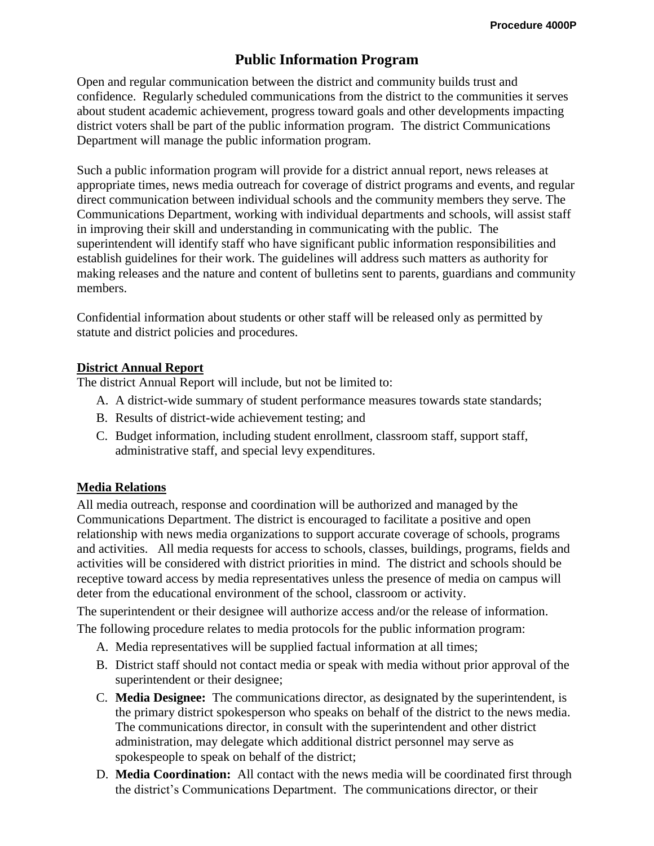# **Public Information Program**

Open and regular communication between the district and community builds trust and confidence. Regularly scheduled communications from the district to the communities it serves about student academic achievement, progress toward goals and other developments impacting district voters shall be part of the public information program. The district Communications Department will manage the public information program.

Such a public information program will provide for a district annual report, news releases at appropriate times, news media outreach for coverage of district programs and events, and regular direct communication between individual schools and the community members they serve. The Communications Department, working with individual departments and schools, will assist staff in improving their skill and understanding in communicating with the public. The superintendent will identify staff who have significant public information responsibilities and establish guidelines for their work. The guidelines will address such matters as authority for making releases and the nature and content of bulletins sent to parents, guardians and community members.

Confidential information about students or other staff will be released only as permitted by statute and district policies and procedures.

### **District Annual Report**

The district Annual Report will include, but not be limited to:

- A. A district-wide summary of student performance measures towards state standards;
- B. Results of district-wide achievement testing; and
- C. Budget information, including student enrollment, classroom staff, support staff, administrative staff, and special levy expenditures.

#### **Media Relations**

All media outreach, response and coordination will be authorized and managed by the Communications Department. The district is encouraged to facilitate a positive and open relationship with news media organizations to support accurate coverage of schools, programs and activities. All media requests for access to schools, classes, buildings, programs, fields and activities will be considered with district priorities in mind. The district and schools should be receptive toward access by media representatives unless the presence of media on campus will deter from the educational environment of the school, classroom or activity.

The superintendent or their designee will authorize access and/or the release of information.

The following procedure relates to media protocols for the public information program:

- A. Media representatives will be supplied factual information at all times;
- B. District staff should not contact media or speak with media without prior approval of the superintendent or their designee;
- C. **Media Designee:** The communications director, as designated by the superintendent, is the primary district spokesperson who speaks on behalf of the district to the news media. The communications director, in consult with the superintendent and other district administration, may delegate which additional district personnel may serve as spokespeople to speak on behalf of the district;
- D. **Media Coordination:** All contact with the news media will be coordinated first through the district's Communications Department. The communications director, or their